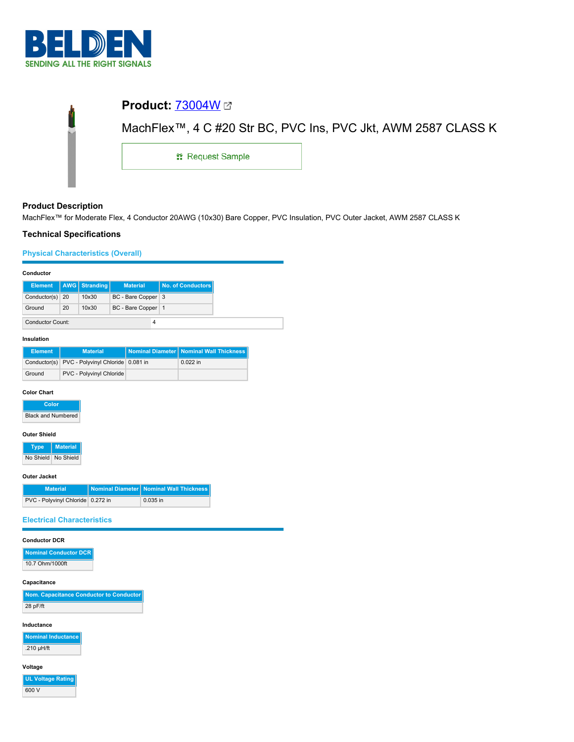

| ġ |                         |                                                               |  |
|---|-------------------------|---------------------------------------------------------------|--|
|   |                         | MachFlex™, 4 C #20 Str BC, PVC Ins, PVC Jkt, AWM 2587 CLASS K |  |
|   | <b>: Request Sample</b> |                                                               |  |
|   |                         |                                                               |  |

# **Product Description**

MachFlex™ for Moderate Flex, 4 Conductor 20AWG (10x30) Bare Copper, PVC Insulation, PVC Outer Jacket, AWM 2587 CLASS K

## **Technical Specifications**

**Physical Characteristics (Overall)**

| Conductor               |    |                      |                      |                   |
|-------------------------|----|----------------------|----------------------|-------------------|
| <b>Element</b>          |    | <b>AWG</b> Stranding | <b>Material</b>      | No. of Conductors |
| Conductor(s) $20$       |    | 10x30                | BC - Bare Copper 3   |                   |
| Ground                  | 20 | 10x30                | BC - Bare Copper   1 |                   |
| <b>Conductor Count:</b> |    |                      | 4                    |                   |

## **Insulation**

| <b>Element</b> | <b>Material</b>                                | Nominal Diameter Nominal Wall Thickness |
|----------------|------------------------------------------------|-----------------------------------------|
|                | Conductor(s) PVC - Polyvinyl Chloride 0.081 in | $0.022$ in                              |
| Ground         | PVC - Polyvinyl Chloride                       |                                         |

## **Color Chart**

| Color                     |
|---------------------------|
| <b>Black and Numbered</b> |

## **Outer Shield**

| Tvpe.     | <b>Material</b> |
|-----------|-----------------|
| No Shield | No Shield       |

### **Outer Jacket**

| <b>Material</b>                   | Nominal Diameter   Nominal Wall Thickness |
|-----------------------------------|-------------------------------------------|
| PVC - Polyvinyl Chloride 0.272 in | $0.035$ in                                |

## **Electrical Characteristics**

## **Conductor DCR**

| Nominal Conductor DCR |  |
|-----------------------|--|
| 10.7 Ohm/1000ft       |  |

## **Capacitance**

| Nom. Capacitance Conductor to Conductor |
|-----------------------------------------|
| 28 pF/ft                                |

### **Inductance**

**Nominal Inductance** .210 µH/ft

# **Voltage**

**UL Voltage Rating** 600 V